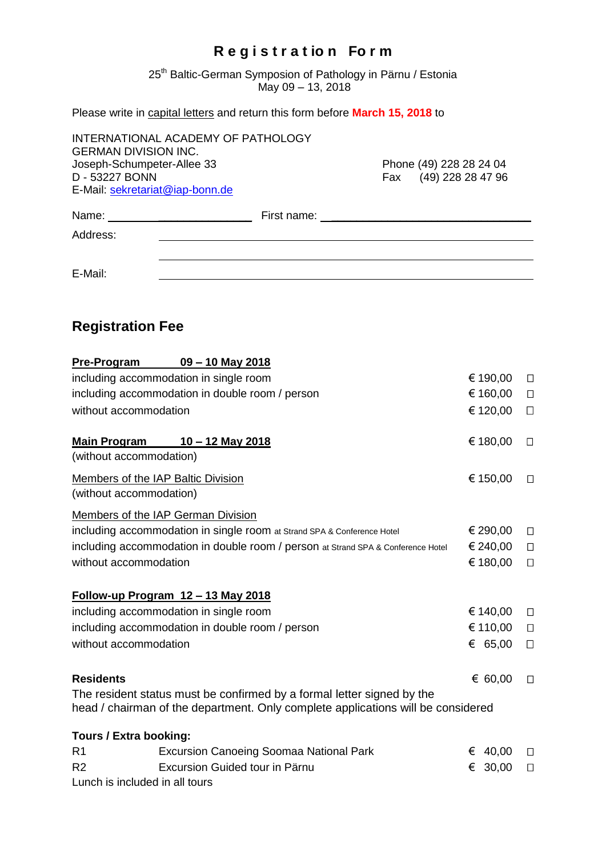## **R e g i s t r a t io n Fo r m**

25<sup>th</sup> Baltic-German Symposion of Pathology in Pärnu / Estonia May 09 – 13, 2018

Please write in capital letters and return this form before **March 15, 2018** to

| <b>GERMAN DIVISION INC.</b><br>Joseph-Schumpeter-Allee 33<br>D - 53227 BONN | INTERNATIONAL ACADEMY OF PATHOLOGY | Phone (49) 228 28 24 04<br>Fax (49) 228 28 47 96 |
|-----------------------------------------------------------------------------|------------------------------------|--------------------------------------------------|
| E-Mail: sekretariat@iap-bonn.de                                             |                                    |                                                  |
| Name:                                                                       | First name: ____                   |                                                  |
| Address:                                                                    |                                    |                                                  |
| E-Mail:                                                                     |                                    |                                                  |

## **Registration Fee**

| <b>Pre-Program</b>                                                               | $09 - 10$ May 2018                                                                                                                                         |            |        |
|----------------------------------------------------------------------------------|------------------------------------------------------------------------------------------------------------------------------------------------------------|------------|--------|
| including accommodation in single room                                           |                                                                                                                                                            | € 190,00   | $\Box$ |
| including accommodation in double room / person                                  |                                                                                                                                                            | € 160,00   | $\Box$ |
| without accommodation                                                            |                                                                                                                                                            | € 120,00   | $\Box$ |
| <b>Main Program</b>                                                              | <u>10 – 12 May 2018</u>                                                                                                                                    | € 180,00   | $\Box$ |
| (without accommodation)                                                          |                                                                                                                                                            |            |        |
| Members of the IAP Baltic Division                                               |                                                                                                                                                            |            | $\Box$ |
| (without accommodation)                                                          |                                                                                                                                                            |            |        |
|                                                                                  | Members of the IAP German Division                                                                                                                         |            |        |
| including accommodation in single room at Strand SPA & Conference Hotel          |                                                                                                                                                            |            | $\Box$ |
| including accommodation in double room / person at Strand SPA & Conference Hotel |                                                                                                                                                            |            | $\Box$ |
| without accommodation                                                            |                                                                                                                                                            | € 180,00   | $\Box$ |
|                                                                                  | Follow-up Program 12 - 13 May 2018                                                                                                                         |            |        |
| including accommodation in single room                                           |                                                                                                                                                            | € 140,00   | $\Box$ |
| including accommodation in double room / person                                  |                                                                                                                                                            | € 110,00   | $\Box$ |
| without accommodation                                                            |                                                                                                                                                            | € 65,00    | $\Box$ |
| <b>Residents</b>                                                                 |                                                                                                                                                            | € 60,00    | $\Box$ |
|                                                                                  | The resident status must be confirmed by a formal letter signed by the<br>head / chairman of the department. Only complete applications will be considered |            |        |
| Tours / Extra booking:                                                           |                                                                                                                                                            |            |        |
| R <sub>1</sub>                                                                   | <b>Excursion Canoeing Soomaa National Park</b>                                                                                                             | 40,00<br>€ | $\Box$ |
| R <sub>2</sub>                                                                   | Excursion Guided tour in Pärnu                                                                                                                             | € 30,00    | $\Box$ |
| Lunch is included in all tours                                                   |                                                                                                                                                            |            |        |